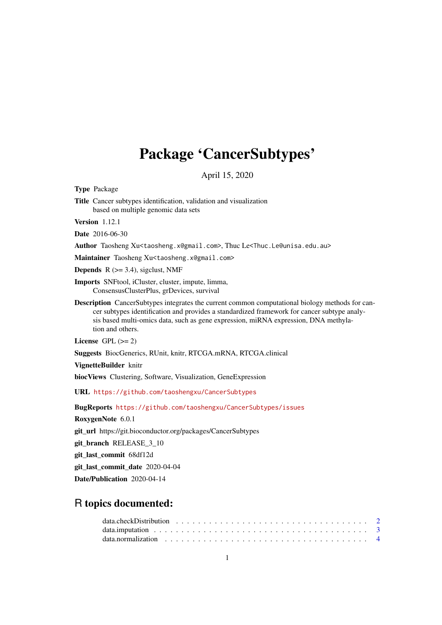# Package 'CancerSubtypes'

April 15, 2020

<span id="page-0-0"></span>Type Package

Title Cancer subtypes identification, validation and visualization based on multiple genomic data sets

Version 1.12.1

Date 2016-06-30

Author Taosheng Xu<taosheng.x@gmail.com>, Thuc Le<Thuc.Le@unisa.edu.au>

Maintainer Taosheng Xu<taosheng.x@gmail.com>

**Depends**  $R$  ( $>= 3.4$ ), sigclust, NMF

Imports SNFtool, iCluster, cluster, impute, limma, ConsensusClusterPlus, grDevices, survival

Description CancerSubtypes integrates the current common computational biology methods for cancer subtypes identification and provides a standardized framework for cancer subtype analysis based multi-omics data, such as gene expression, miRNA expression, DNA methylation and others.

License GPL  $(>= 2)$ 

Suggests BiocGenerics, RUnit, knitr, RTCGA.mRNA, RTCGA.clinical

VignetteBuilder knitr

biocViews Clustering, Software, Visualization, GeneExpression

URL <https://github.com/taoshengxu/CancerSubtypes>

BugReports <https://github.com/taoshengxu/CancerSubtypes/issues>

RoxygenNote 6.0.1

git\_url https://git.bioconductor.org/packages/CancerSubtypes

git branch RELEASE 3 10

git\_last\_commit 68df12d

git\_last\_commit\_date 2020-04-04

Date/Publication 2020-04-14

# R topics documented: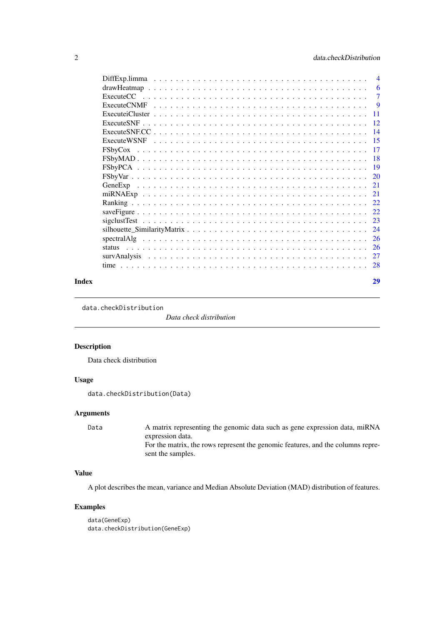<span id="page-1-0"></span>

| $\overline{4}$ |
|----------------|
| 6              |
| $\overline{7}$ |
| 9              |
| -11            |
|                |
|                |
|                |
|                |
|                |
|                |
|                |
|                |
|                |
|                |
|                |
|                |
|                |
| 26             |
|                |
| 27             |
| 28             |
|                |

#### **Index** [29](#page-28-0)

data.checkDistribution

*Data check distribution*

# Description

Data check distribution

# Usage

```
data.checkDistribution(Data)
```
# Arguments

Data A matrix representing the genomic data such as gene expression data, miRNA expression data. For the matrix, the rows represent the genomic features, and the columns represent the samples.

# Value

A plot describes the mean, variance and Median Absolute Deviation (MAD) distribution of features.

# Examples

```
data(GeneExp)
data.checkDistribution(GeneExp)
```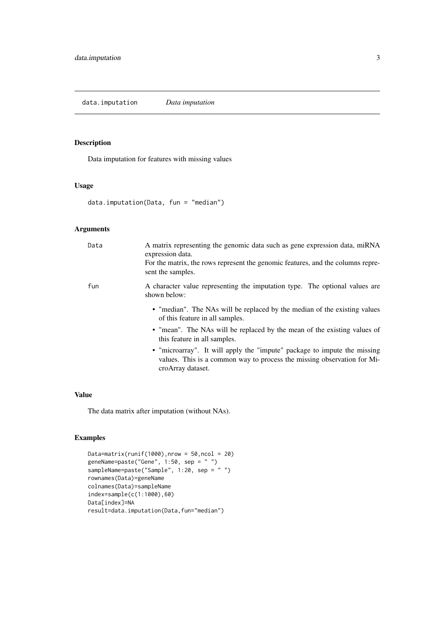<span id="page-2-0"></span>data.imputation *Data imputation*

# Description

Data imputation for features with missing values

# Usage

```
data.imputation(Data, fun = "median")
```
# Arguments

| Data | A matrix representing the genomic data such as gene expression data, miRNA<br>expression data.<br>For the matrix, the rows represent the genomic features, and the columns repre-<br>sent the samples. |
|------|--------------------------------------------------------------------------------------------------------------------------------------------------------------------------------------------------------|
| fun  | A character value representing the imputation type. The optional values are<br>shown below:                                                                                                            |
|      | • "median". The NAs will be replaced by the median of the existing values<br>of this feature in all samples.                                                                                           |
|      | • "mean". The NAs will be replaced by the mean of the existing values of<br>this feature in all samples.                                                                                               |
|      | • "microarray". It will apply the "impute" package to impute the missing<br>values. This is a common way to process the missing observation for Mi-<br>croArray dataset.                               |

# Value

The data matrix after imputation (without NAs).

# Examples

```
Data=matrix(runif(1000),nrow = 50,ncol = 20)
geneName=paste("Gene", 1:50, sep = " ")
sampleName=paste("Sample", 1:20, sep = " ")
rownames(Data)=geneName
colnames(Data)=sampleName
index=sample(c(1:1000),60)
Data[index]=NA
result=data.imputation(Data,fun="median")
```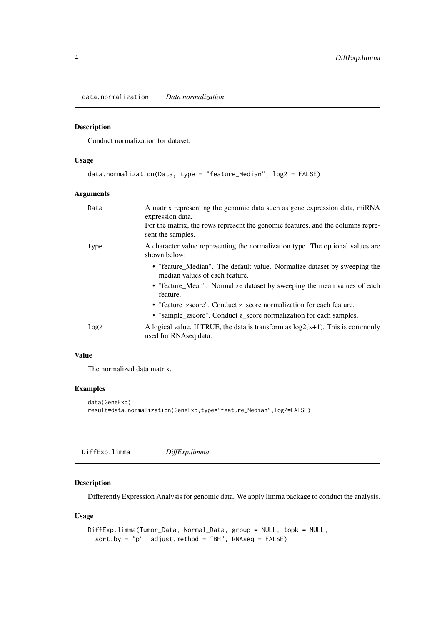<span id="page-3-0"></span>data.normalization *Data normalization*

#### Description

Conduct normalization for dataset.

# Usage

```
data.normalization(Data, type = "feature_Median", log2 = FALSE)
```
# Arguments

| Data             | A matrix representing the genomic data such as gene expression data, miRNA<br>expression data.<br>For the matrix, the rows represent the genomic features, and the columns repre-<br>sent the samples. |
|------------------|--------------------------------------------------------------------------------------------------------------------------------------------------------------------------------------------------------|
| type             | A character value representing the normalization type. The optional values are<br>shown below:                                                                                                         |
|                  | • "feature_Median". The default value. Normalize dataset by sweeping the<br>median values of each feature.                                                                                             |
|                  | • "feature_Mean". Normalize dataset by sweeping the mean values of each<br>feature.                                                                                                                    |
|                  | • "feature_zscore". Conduct z_score normalization for each feature.                                                                                                                                    |
|                  | • "sample_zscore". Conduct z_score normalization for each samples.                                                                                                                                     |
| log <sub>2</sub> | A logical value. If TRUE, the data is transform as $log2(x+1)$ . This is commonly<br>used for RNAseq data.                                                                                             |

# Value

The normalized data matrix.

# Examples

```
data(GeneExp)
result=data.normalization(GeneExp,type="feature_Median",log2=FALSE)
```
DiffExp.limma *DiffExp.limma*

# Description

Differently Expression Analysis for genomic data. We apply limma package to conduct the analysis.

#### Usage

```
DiffExp.limma(Tumor_Data, Normal_Data, group = NULL, topk = NULL,
  sort.by = "p", adjust.method = "BH", RNAseq = FALSE)
```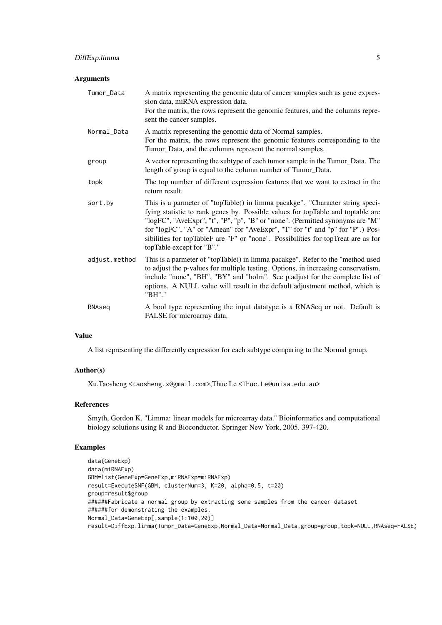# Arguments

| Tumor_Data    | A matrix representing the genomic data of cancer samples such as gene expres-<br>sion data, miRNA expression data.<br>For the matrix, the rows represent the genomic features, and the columns repre-<br>sent the cancer samples.                                                                                                                                                                                                                    |
|---------------|------------------------------------------------------------------------------------------------------------------------------------------------------------------------------------------------------------------------------------------------------------------------------------------------------------------------------------------------------------------------------------------------------------------------------------------------------|
| Normal_Data   | A matrix representing the genomic data of Normal samples.<br>For the matrix, the rows represent the genomic features corresponding to the<br>Tumor_Data, and the columns represent the normal samples.                                                                                                                                                                                                                                               |
| group         | A vector representing the subtype of each tumor sample in the Tumor_Data. The<br>length of group is equal to the column number of Tumor_Data.                                                                                                                                                                                                                                                                                                        |
| topk          | The top number of different expression features that we want to extract in the<br>return result.                                                                                                                                                                                                                                                                                                                                                     |
| sort.by       | This is a parmeter of "topTable() in limma pacakge". "Character string speci-<br>fying statistic to rank genes by. Possible values for topTable and toptable are<br>"logFC", "AveExpr", "t", "P", "p", "B" or "none". (Permitted synonyms are "M"<br>for "logFC", "A" or "Amean" for "AveExpr", "T" for "t" and "p" for "P".) Pos-<br>sibilities for topTableF are "F" or "none". Possibilities for topTreat are as for<br>topTable except for "B"." |
| adjust.method | This is a parmeter of "topTable() in limma pacakge". Refer to the "method used<br>to adjust the p-values for multiple testing. Options, in increasing conservatism,<br>include "none", "BH", "BY" and "holm". See p.adjust for the complete list of<br>options. A NULL value will result in the default adjustment method, which is<br>"BH"."                                                                                                        |
| RNAseg        | A bool type representing the input datatype is a RNASeq or not. Default is<br>FALSE for microarray data.                                                                                                                                                                                                                                                                                                                                             |

#### Value

A list representing the differently expression for each subtype comparing to the Normal group.

# Author(s)

Xu,Taosheng <taosheng.x@gmail.com>,Thuc Le <Thuc.Le@unisa.edu.au>

# References

Smyth, Gordon K. "Limma: linear models for microarray data." Bioinformatics and computational biology solutions using R and Bioconductor. Springer New York, 2005. 397-420.

#### Examples

```
data(GeneExp)
data(miRNAExp)
GBM=list(GeneExp=GeneExp,miRNAExp=miRNAExp)
result=ExecuteSNF(GBM, clusterNum=3, K=20, alpha=0.5, t=20)
group=result$group
######Fabricate a normal group by extracting some samples from the cancer dataset
######for demonstrating the examples.
Normal_Data=GeneExp[,sample(1:100,20)]
result=DiffExp.limma(Tumor_Data=GeneExp,Normal_Data=Normal_Data,group=group,topk=NULL,RNAseq=FALSE)
```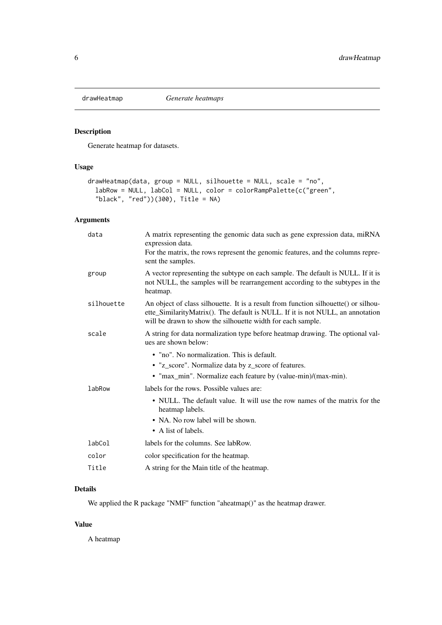<span id="page-5-0"></span>

# Description

Generate heatmap for datasets.

# Usage

```
drawHeatmap(data, group = NULL, silhouette = NULL, scale = "no",
  labRow = NULL, labCol = NULL, color = colorRampPalette(c("green",
  "black", "red"))(300), Title = NA)
```
# Arguments

| data       | A matrix representing the genomic data such as gene expression data, miRNA<br>expression data.<br>For the matrix, the rows represent the genomic features, and the columns repre-<br>sent the samples.                               |
|------------|--------------------------------------------------------------------------------------------------------------------------------------------------------------------------------------------------------------------------------------|
| group      | A vector representing the subtype on each sample. The default is NULL. If it is<br>not NULL, the samples will be rearrangement according to the subtypes in the<br>heatmap.                                                          |
| silhouette | An object of class silhouette. It is a result from function silhouette() or silhou-<br>ette_SimilarityMatrix(). The default is NULL. If it is not NULL, an annotation<br>will be drawn to show the silhouette width for each sample. |
| scale      | A string for data normalization type before heatmap drawing. The optional val-<br>ues are shown below:                                                                                                                               |
|            | • "no". No normalization. This is default.                                                                                                                                                                                           |
|            | • "z_score". Normalize data by z_score of features.                                                                                                                                                                                  |
|            | • "max_min". Normalize each feature by (value-min)/(max-min).                                                                                                                                                                        |
| labRow     | labels for the rows. Possible values are:                                                                                                                                                                                            |
|            | • NULL. The default value. It will use the row names of the matrix for the<br>heatmap labels.                                                                                                                                        |
|            | • NA. No row label will be shown.                                                                                                                                                                                                    |
|            | • A list of labels.                                                                                                                                                                                                                  |
| labCol     | labels for the columns. See labRow.                                                                                                                                                                                                  |
| color      | color specification for the heatmap.                                                                                                                                                                                                 |
| Title      | A string for the Main title of the heatmap.                                                                                                                                                                                          |
|            |                                                                                                                                                                                                                                      |

# Details

We applied the R package "NMF" function "aheatmap()" as the heatmap drawer.

# Value

A heatmap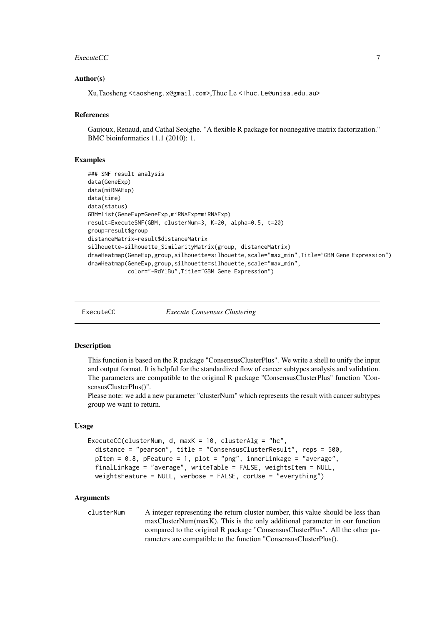#### <span id="page-6-0"></span>ExecuteCC 22 and 22 and 22 and 23 and 23 and 23 and 23 and 23 and 23 and 23 and 23 and 23 and 23 and 23 and 23 and 23 and 23 and 23 and 23 and 23 and 23 and 23 and 23 and 23 and 23 and 23 and 23 and 23 and 23 and 23 and 23

#### Author(s)

Xu,Taosheng <taosheng.x@gmail.com>,Thuc Le <Thuc.Le@unisa.edu.au>

#### References

Gaujoux, Renaud, and Cathal Seoighe. "A flexible R package for nonnegative matrix factorization." BMC bioinformatics 11.1 (2010): 1.

#### Examples

```
### SNF result analysis
data(GeneExp)
data(miRNAExp)
data(time)
data(status)
GBM=list(GeneExp=GeneExp,miRNAExp=miRNAExp)
result=ExecuteSNF(GBM, clusterNum=3, K=20, alpha=0.5, t=20)
group=result$group
distanceMatrix=result$distanceMatrix
silhouette=silhouette_SimilarityMatrix(group, distanceMatrix)
drawHeatmap(GeneExp,group,silhouette=silhouette,scale="max_min",Title="GBM Gene Expression")
drawHeatmap(GeneExp,group,silhouette=silhouette,scale="max_min",
            color="-RdYlBu",Title="GBM Gene Expression")
```
<span id="page-6-1"></span>

ExecuteCC *Execute Consensus Clustering*

#### Description

This function is based on the R package "ConsensusClusterPlus". We write a shell to unify the input and output format. It is helpful for the standardized flow of cancer subtypes analysis and validation. The parameters are compatible to the original R package "ConsensusClusterPlus" function "ConsensusClusterPlus()".

Please note: we add a new parameter "clusterNum" which represents the result with cancer subtypes group we want to return.

#### Usage

```
ExecuteCC(clusterNum, d, maxK = 10, clusterAlg = "hc",
 distance = "pearson", title = "ConsensusClusterResult", reps = 500,
 pItem = 0.8, pFeature = 1, plot = "png", innerLinkage = "average",
 finalLinkage = "average", writeTable = FALSE, weightsItem = NULL,
 weightsFeature = NULL, verbose = FALSE, corUse = "everything")
```
#### Arguments

clusterNum A integer representing the return cluster number, this value should be less than maxClusterNum(maxK). This is the only additional parameter in our function compared to the original R package "ConsensusClusterPlus". All the other parameters are compatible to the function "ConsensusClusterPlus().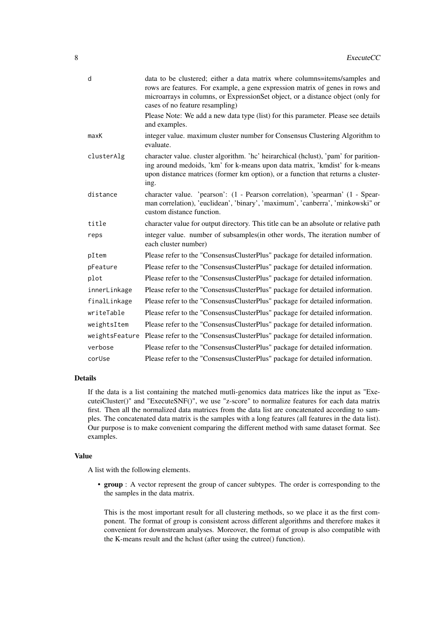| d              | data to be clustered; either a data matrix where columns=items/samples and<br>rows are features. For example, a gene expression matrix of genes in rows and<br>microarrays in columns, or ExpressionSet object, or a distance object (only for<br>cases of no feature resampling) |
|----------------|-----------------------------------------------------------------------------------------------------------------------------------------------------------------------------------------------------------------------------------------------------------------------------------|
|                | Please Note: We add a new data type (list) for this parameter. Please see details<br>and examples.                                                                                                                                                                                |
| maxK           | integer value. maximum cluster number for Consensus Clustering Algorithm to<br>evaluate.                                                                                                                                                                                          |
| clusterAlg     | character value. cluster algorithm. 'hc' heirarchical (hclust), 'pam' for parition-<br>ing around medoids, 'km' for k-means upon data matrix, 'kmdist' for k-means<br>upon distance matrices (former km option), or a function that returns a cluster-<br>ing.                    |
| distance       | character value. 'pearson': (1 - Pearson correlation), 'spearman' (1 - Spear-<br>man correlation), 'euclidean', 'binary', 'maximum', 'canberra', 'minkowski" or<br>custom distance function.                                                                                      |
| title          | character value for output directory. This title can be an absolute or relative path                                                                                                                                                                                              |
| reps           | integer value. number of subsamples(in other words, The iteration number of<br>each cluster number)                                                                                                                                                                               |
| pItem          | Please refer to the "ConsensusClusterPlus" package for detailed information.                                                                                                                                                                                                      |
| pFeature       | Please refer to the "ConsensusClusterPlus" package for detailed information.                                                                                                                                                                                                      |
| plot           | Please refer to the "ConsensusClusterPlus" package for detailed information.                                                                                                                                                                                                      |
| innerLinkage   | Please refer to the "ConsensusClusterPlus" package for detailed information.                                                                                                                                                                                                      |
| finalLinkage   | Please refer to the "ConsensusClusterPlus" package for detailed information.                                                                                                                                                                                                      |
| writeTable     | Please refer to the "ConsensusClusterPlus" package for detailed information.                                                                                                                                                                                                      |
| weightsItem    | Please refer to the "ConsensusClusterPlus" package for detailed information.                                                                                                                                                                                                      |
| weightsFeature | Please refer to the "ConsensusClusterPlus" package for detailed information.                                                                                                                                                                                                      |
| verbose        | Please refer to the "ConsensusClusterPlus" package for detailed information.                                                                                                                                                                                                      |
| corUse         | Please refer to the "ConsensusClusterPlus" package for detailed information.                                                                                                                                                                                                      |

# Details

If the data is a list containing the matched mutli-genomics data matrices like the input as "ExecuteiCluster()" and "ExecuteSNF()", we use "z-score" to normalize features for each data matrix first. Then all the normalized data matrices from the data list are concatenated according to samples. The concatenated data matrix is the samples with a long features (all features in the data list). Our purpose is to make convenient comparing the different method with same dataset format. See examples.

# Value

A list with the following elements.

• group : A vector represent the group of cancer subtypes. The order is corresponding to the the samples in the data matrix.

This is the most important result for all clustering methods, so we place it as the first component. The format of group is consistent across different algorithms and therefore makes it convenient for downstream analyses. Moreover, the format of group is also compatible with the K-means result and the hclust (after using the cutree() function).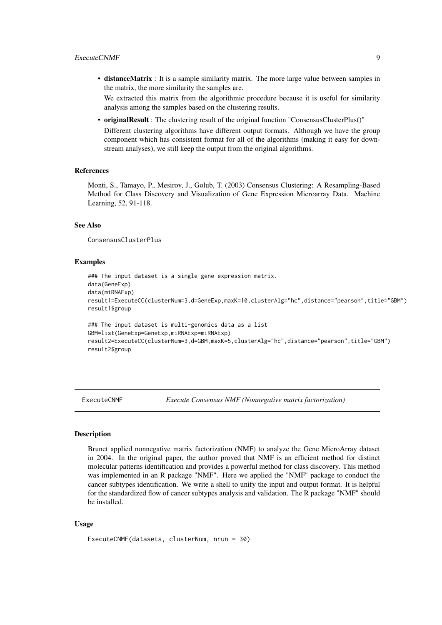<span id="page-8-0"></span>• distanceMatrix : It is a sample similarity matrix. The more large value between samples in the matrix, the more similarity the samples are.

We extracted this matrix from the algorithmic procedure because it is useful for similarity analysis among the samples based on the clustering results.

• originalResult : The clustering result of the original function "ConsensusClusterPlus()" Different clustering algorithms have different output formats. Although we have the group component which has consistent format for all of the algorithms (making it easy for downstream analyses), we still keep the output from the original algorithms.

#### References

Monti, S., Tamayo, P., Mesirov, J., Golub, T. (2003) Consensus Clustering: A Resampling-Based Method for Class Discovery and Visualization of Gene Expression Microarray Data. Machine Learning, 52, 91-118.

# See Also

ConsensusClusterPlus

#### Examples

```
### The input dataset is a single gene expression matrix.
data(GeneExp)
data(miRNAExp)
result1=ExecuteCC(clusterNum=3,d=GeneExp,maxK=10,clusterAlg="hc",distance="pearson",title="GBM")
result1$group
### The input dataset is multi-genomics data as a list
GBM=list(GeneExp=GeneExp,miRNAExp=miRNAExp)
result2=ExecuteCC(clusterNum=3,d=GBM,maxK=5,clusterAlg="hc",distance="pearson",title="GBM")
result2$group
```
ExecuteCNMF *Execute Consensus NMF (Nonnegative matrix factorization)*

# Description

Brunet applied nonnegative matrix factorization (NMF) to analyze the Gene MicroArray dataset in 2004. In the original paper, the author proved that NMF is an efficient method for distinct molecular patterns identification and provides a powerful method for class discovery. This method was implemented in an R package "NMF". Here we applied the "NMF" package to conduct the cancer subtypes identification. We write a shell to unify the input and output format. It is helpful for the standardized flow of cancer subtypes analysis and validation. The R package "NMF" should be installed.

# Usage

```
ExecuteCNMF(datasets, clusterNum, nrun = 30)
```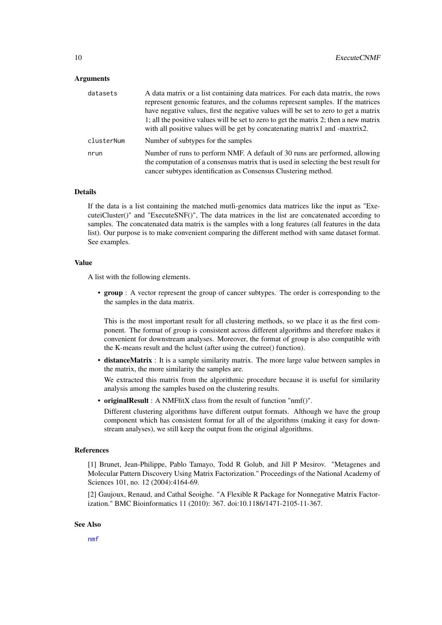#### <span id="page-9-0"></span>Arguments

| datasets   | A data matrix or a list containing data matrices. For each data matrix, the rows<br>represent genomic features, and the columns represent samples. If the matrices                                                                   |
|------------|--------------------------------------------------------------------------------------------------------------------------------------------------------------------------------------------------------------------------------------|
|            | have negative values, first the negative values will be set to zero to get a matrix                                                                                                                                                  |
|            | 1; all the positive values will be set to zero to get the matrix 2; then a new matrix<br>with all positive values will be get by concatenating matrix1 and -maxtrix2.                                                                |
| clusterNum | Number of subtypes for the samples                                                                                                                                                                                                   |
| nrun       | Number of runs to perform NMF. A default of 30 runs are performed, allowing<br>the computation of a consensus matrix that is used in selecting the best result for<br>cancer subtypes identification as Consensus Clustering method. |

# Details

If the data is a list containing the matched mutli-genomics data matrices like the input as "ExecuteiCluster()" and "ExecuteSNF()", The data matrices in the list are concatenated according to samples. The concatenated data matrix is the samples with a long features (all features in the data list). Our purpose is to make convenient comparing the different method with same dataset format. See examples.

# Value

A list with the following elements.

• group : A vector represent the group of cancer subtypes. The order is corresponding to the the samples in the data matrix.

This is the most important result for all clustering methods, so we place it as the first component. The format of group is consistent across different algorithms and therefore makes it convenient for downstream analyses. Moreover, the format of group is also compatible with the K-means result and the hclust (after using the cutree() function).

• distanceMatrix : It is a sample similarity matrix. The more large value between samples in the matrix, the more similarity the samples are.

We extracted this matrix from the algorithmic procedure because it is useful for similarity analysis among the samples based on the clustering results.

• originalResult : A NMFfitX class from the result of function "nmf()".

Different clustering algorithms have different output formats. Although we have the group component which has consistent format for all of the algorithms (making it easy for downstream analyses), we still keep the output from the original algorithms.

#### References

[1] Brunet, Jean-Philippe, Pablo Tamayo, Todd R Golub, and Jill P Mesirov. "Metagenes and Molecular Pattern Discovery Using Matrix Factorization." Proceedings of the National Academy of Sciences 101, no. 12 (2004):4164-69.

[2] Gaujoux, Renaud, and Cathal Seoighe. "A Flexible R Package for Nonnegative Matrix Factorization." BMC Bioinformatics 11 (2010): 367. doi:10.1186/1471-2105-11-367.

#### See Also

[nmf](#page-0-0)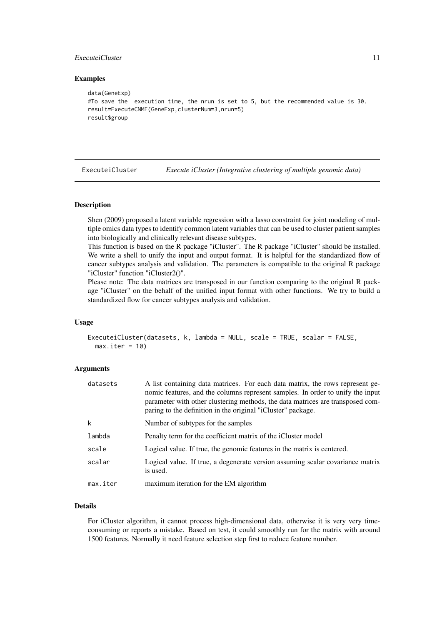#### <span id="page-10-0"></span>ExecuteiCluster 11

#### Examples

```
data(GeneExp)
#To save the execution time, the nrun is set to 5, but the recommended value is 30.
result=ExecuteCNMF(GeneExp,clusterNum=3,nrun=5)
result$group
```
ExecuteiCluster *Execute iCluster (Integrative clustering of multiple genomic data)*

#### Description

Shen (2009) proposed a latent variable regression with a lasso constraint for joint modeling of multiple omics data types to identify common latent variables that can be used to cluster patient samples into biologically and clinically relevant disease subtypes.

This function is based on the R package "iCluster". The R package "iCluster" should be installed. We write a shell to unify the input and output format. It is helpful for the standardized flow of cancer subtypes analysis and validation. The parameters is compatible to the original R package "iCluster" function "iCluster2()".

Please note: The data matrices are transposed in our function comparing to the original R package "iCluster" on the behalf of the unified input format with other functions. We try to build a standardized flow for cancer subtypes analysis and validation.

#### Usage

```
ExecuteiCluster(datasets, k, lambda = NULL, scale = TRUE, scalar = FALSE,
 max.iter = 10
```
#### Arguments

| datasets | A list containing data matrices. For each data matrix, the rows represent ge-<br>nomic features, and the columns represent samples. In order to unify the input<br>parameter with other clustering methods, the data matrices are transposed com-<br>paring to the definition in the original "iCluster" package. |
|----------|-------------------------------------------------------------------------------------------------------------------------------------------------------------------------------------------------------------------------------------------------------------------------------------------------------------------|
| k        | Number of subtypes for the samples                                                                                                                                                                                                                                                                                |
| lambda   | Penalty term for the coefficient matrix of the iCluster model                                                                                                                                                                                                                                                     |
| scale    | Logical value. If true, the genomic features in the matrix is centered.                                                                                                                                                                                                                                           |
| scalar   | Logical value. If true, a degenerate version assuming scalar covariance matrix<br>is used.                                                                                                                                                                                                                        |
| max.iter | maximum iteration for the EM algorithm                                                                                                                                                                                                                                                                            |

#### Details

For iCluster algorithm, it cannot process high-dimensional data, otherwise it is very very timeconsuming or reports a mistake. Based on test, it could smoothly run for the matrix with around 1500 features. Normally it need feature selection step first to reduce feature number.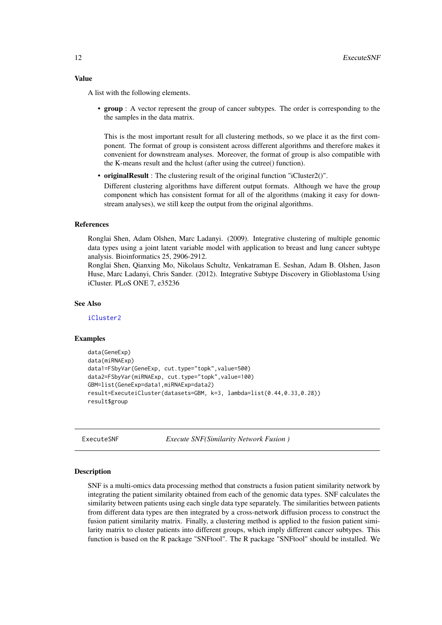#### <span id="page-11-0"></span>Value

A list with the following elements.

• group : A vector represent the group of cancer subtypes. The order is corresponding to the the samples in the data matrix.

This is the most important result for all clustering methods, so we place it as the first component. The format of group is consistent across different algorithms and therefore makes it convenient for downstream analyses. Moreover, the format of group is also compatible with the K-means result and the hclust (after using the cutree() function).

• originalResult : The clustering result of the original function "iCluster2()".

Different clustering algorithms have different output formats. Although we have the group component which has consistent format for all of the algorithms (making it easy for downstream analyses), we still keep the output from the original algorithms.

#### References

Ronglai Shen, Adam Olshen, Marc Ladanyi. (2009). Integrative clustering of multiple genomic data types using a joint latent variable model with application to breast and lung cancer subtype analysis. Bioinformatics 25, 2906-2912.

Ronglai Shen, Qianxing Mo, Nikolaus Schultz, Venkatraman E. Seshan, Adam B. Olshen, Jason Huse, Marc Ladanyi, Chris Sander. (2012). Integrative Subtype Discovery in Glioblastoma Using iCluster. PLoS ONE 7, e35236

#### See Also

[iCluster2](#page-0-0)

#### Examples

```
data(GeneExp)
data(miRNAExp)
data1=FSbyVar(GeneExp, cut.type="topk",value=500)
data2=FSbyVar(miRNAExp, cut.type="topk",value=100)
GBM=list(GeneExp=data1,miRNAExp=data2)
result=ExecuteiCluster(datasets=GBM, k=3, lambda=list(0.44,0.33,0.28))
result$group
```
<span id="page-11-1"></span>ExecuteSNF *Execute SNF(Similarity Network Fusion )*

#### **Description**

SNF is a multi-omics data processing method that constructs a fusion patient similarity network by integrating the patient similarity obtained from each of the genomic data types. SNF calculates the similarity between patients using each single data type separately. The similarities between patients from different data types are then integrated by a cross-network diffusion process to construct the fusion patient similarity matrix. Finally, a clustering method is applied to the fusion patient similarity matrix to cluster patients into different groups, which imply different cancer subtypes. This function is based on the R package "SNFtool". The R package "SNFtool" should be installed. We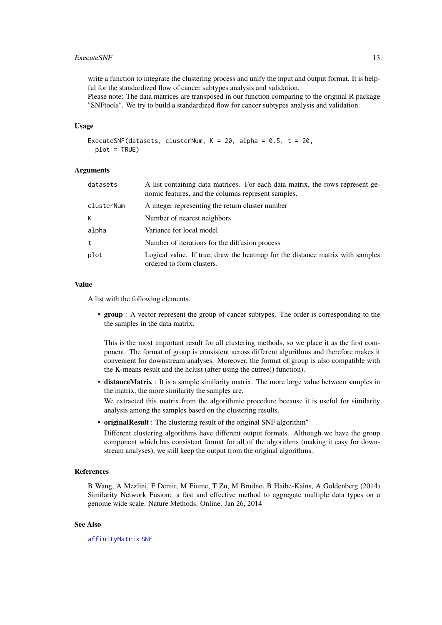#### <span id="page-12-0"></span>ExecuteSNF 13

write a function to integrate the clustering process and unify the input and output format. It is helpful for the standardized flow of cancer subtypes analysis and validation. Please note: The data matrices are transposed in our function comparing to the original R package

"SNFtools". We try to build a standardized flow for cancer subtypes analysis and validation.

# Usage

```
ExecuteSNF(datasets, clusterNum, K = 20, alpha = 0.5, t = 20,
 plot = TRUE)
```
### Arguments

| datasets   | A list containing data matrices. For each data matrix, the rows represent ge-<br>nomic features, and the columns represent samples. |
|------------|-------------------------------------------------------------------------------------------------------------------------------------|
| clusterNum | A integer representing the return cluster number                                                                                    |
| K.         | Number of nearest neighbors                                                                                                         |
| alpha      | Variance for local model                                                                                                            |
| t          | Number of iterations for the diffusion process                                                                                      |
| plot       | Logical value. If true, draw the heatmap for the distance matrix with samples<br>ordered to form clusters.                          |

#### Value

A list with the following elements.

• group : A vector represent the group of cancer subtypes. The order is corresponding to the the samples in the data matrix.

This is the most important result for all clustering methods, so we place it as the first component. The format of group is consistent across different algorithms and therefore makes it convenient for downstream analyses. Moreover, the format of group is also compatible with the K-means result and the hclust (after using the cutree() function).

• distanceMatrix : It is a sample similarity matrix. The more large value between samples in the matrix, the more similarity the samples are.

We extracted this matrix from the algorithmic procedure because it is useful for similarity analysis among the samples based on the clustering results.

• originalResult : The clustering result of the original SNF algorithm"

Different clustering algorithms have different output formats. Although we have the group component which has consistent format for all of the algorithms (making it easy for downstream analyses), we still keep the output from the original algorithms.

# References

B Wang, A Mezlini, F Demir, M Fiume, T Zu, M Brudno, B Haibe-Kains, A Goldenberg (2014) Similarity Network Fusion: a fast and effective method to aggregate multiple data types on a genome wide scale. Nature Methods. Online. Jan 26, 2014

# See Also

[affinityMatrix](#page-0-0) [SNF](#page-0-0)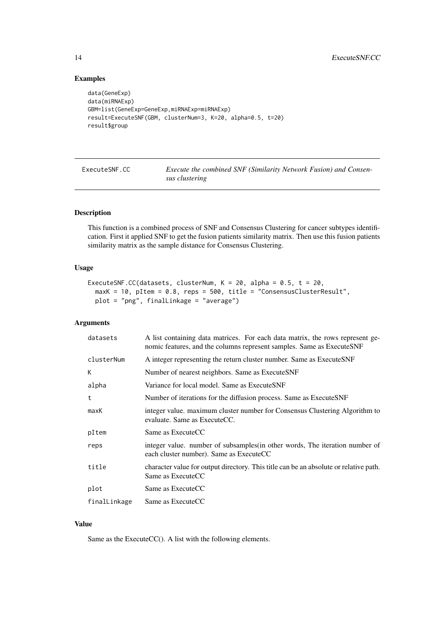# Examples

```
data(GeneExp)
data(miRNAExp)
GBM=list(GeneExp=GeneExp,miRNAExp=miRNAExp)
result=ExecuteSNF(GBM, clusterNum=3, K=20, alpha=0.5, t=20)
result$group
```
ExecuteSNF.CC *Execute the combined SNF (Similarity Network Fusion) and Consensus clustering*

# Description

This function is a combined process of SNF and Consensus Clustering for cancer subtypes identification. First it applied SNF to get the fusion patients similarity matrix. Then use this fusion patients similarity matrix as the sample distance for Consensus Clustering.

#### Usage

```
ExecuteSNF.CC(datasets, clusterNum, K = 20, alpha = 0.5, t = 20,
 maxK = 10, pItem = 0.8, reps = 500, title = "ConsensusClusterResult",
 plot = "png", finalLinkage = "average")
```
# Arguments

| datasets     | A list containing data matrices. For each data matrix, the rows represent ge-<br>nomic features, and the columns represent samples. Same as ExecuteSNF |
|--------------|--------------------------------------------------------------------------------------------------------------------------------------------------------|
| clusterNum   | A integer representing the return cluster number. Same as ExecuteSNF                                                                                   |
| К            | Number of nearest neighbors. Same as ExecuteSNF                                                                                                        |
| alpha        | Variance for local model. Same as ExecuteSNF                                                                                                           |
| t            | Number of iterations for the diffusion process. Same as ExecuteSNF                                                                                     |
| maxK         | integer value. maximum cluster number for Consensus Clustering Algorithm to<br>evaluate. Same as ExecuteCC.                                            |
| pItem        | Same as ExecuteCC                                                                                                                                      |
| reps         | integer value. number of subsamples (in other words, The iteration number of<br>each cluster number). Same as ExecuteCC                                |
| title        | character value for output directory. This title can be an absolute or relative path.<br>Same as ExecuteCC                                             |
| plot         | Same as ExecuteCC                                                                                                                                      |
| finalLinkage | Same as ExecuteCC                                                                                                                                      |

# Value

Same as the ExecuteCC(). A list with the following elements.

<span id="page-13-0"></span>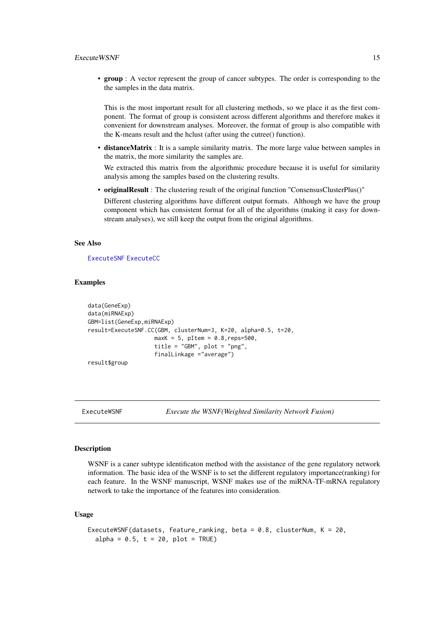<span id="page-14-0"></span>• group : A vector represent the group of cancer subtypes. The order is corresponding to the the samples in the data matrix.

This is the most important result for all clustering methods, so we place it as the first component. The format of group is consistent across different algorithms and therefore makes it convenient for downstream analyses. Moreover, the format of group is also compatible with the K-means result and the hclust (after using the cutree() function).

• distanceMatrix : It is a sample similarity matrix. The more large value between samples in the matrix, the more similarity the samples are.

We extracted this matrix from the algorithmic procedure because it is useful for similarity analysis among the samples based on the clustering results.

• originalResult : The clustering result of the original function "ConsensusClusterPlus()"

Different clustering algorithms have different output formats. Although we have the group component which has consistent format for all of the algorithms (making it easy for downstream analyses), we still keep the output from the original algorithms.

# See Also

[ExecuteSNF](#page-11-1) [ExecuteCC](#page-6-1)

#### Examples

```
data(GeneExp)
data(miRNAExp)
GBM=list(GeneExp,miRNAExp)
result=ExecuteSNF.CC(GBM, clusterNum=3, K=20, alpha=0.5, t=20,
                    maxK = 5, pItem = 0.8, reps=500,
                    title = "GBM", plot = "png",
                    finalLinkage ="average")
result$group
```

```
ExecuteWSNF Execute the WSNF(Weighted Similarity Network Fusion)
```
#### Description

WSNF is a caner subtype identificaton method with the assistance of the gene regulatory network information. The basic idea of the WSNF is to set the different regulatory importance(ranking) for each feature. In the WSNF manuscript, WSNF makes use of the miRNA-TF-mRNA regulatory network to take the importance of the features into consideration.

#### Usage

```
ExecuteWSNF(datasets, feature_ranking, beta = 0.8, clusterNum, K = 20,
  alpha = 0.5, t = 20, plot = TRUE)
```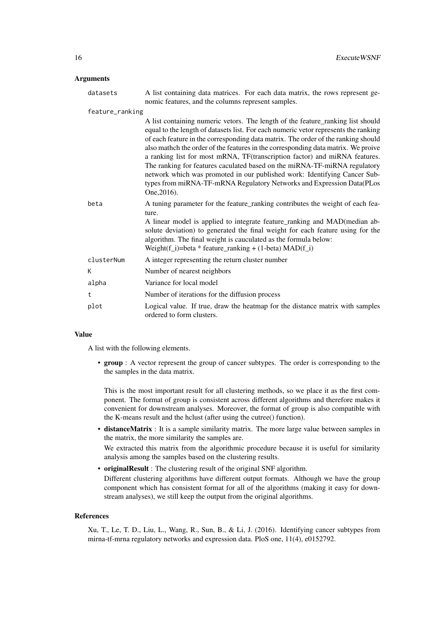# Arguments

| datasets        | A list containing data matrices. For each data matrix, the rows represent ge-<br>nomic features, and the columns represent samples.                                                                                                                                                                                                                                                                                                                                                                                                                                                                                                                                              |
|-----------------|----------------------------------------------------------------------------------------------------------------------------------------------------------------------------------------------------------------------------------------------------------------------------------------------------------------------------------------------------------------------------------------------------------------------------------------------------------------------------------------------------------------------------------------------------------------------------------------------------------------------------------------------------------------------------------|
| feature_ranking |                                                                                                                                                                                                                                                                                                                                                                                                                                                                                                                                                                                                                                                                                  |
|                 | A list containing numeric vetors. The length of the feature_ranking list should<br>equal to the length of datasets list. For each numeric vetor represents the ranking<br>of each feature in the corresponding data matrix. The order of the ranking should<br>also mathch the order of the features in the corresponding data matrix. We proive<br>a ranking list for most mRNA, TF(transcription factor) and miRNA features.<br>The ranking for features caculated based on the miRNA-TF-miRNA regulatory<br>network which was promoted in our published work: Identifying Cancer Sub-<br>types from miRNA-TF-mRNA Regulatory Networks and Expression Data(PLos<br>One, 2016). |
| beta            | A tuning parameter for the feature_ranking contributes the weight of each fea-<br>ture.<br>A linear model is applied to integrate feature ranking and MAD (median ab-<br>solute deviation) to generated the final weight for each feature using for the<br>algorithm. The final weight is cauculated as the formula below:<br>Weight $(f_i)$ =beta * feature_ranking + (1-beta) MAD $(f_i)$                                                                                                                                                                                                                                                                                      |
| clusterNum      | A integer representing the return cluster number                                                                                                                                                                                                                                                                                                                                                                                                                                                                                                                                                                                                                                 |
| K               | Number of nearest neighbors                                                                                                                                                                                                                                                                                                                                                                                                                                                                                                                                                                                                                                                      |
| alpha           | Variance for local model                                                                                                                                                                                                                                                                                                                                                                                                                                                                                                                                                                                                                                                         |
| t               | Number of iterations for the diffusion process                                                                                                                                                                                                                                                                                                                                                                                                                                                                                                                                                                                                                                   |
| plot            | Logical value. If true, draw the heatmap for the distance matrix with samples<br>ordered to form clusters.                                                                                                                                                                                                                                                                                                                                                                                                                                                                                                                                                                       |

#### Value

A list with the following elements.

• group : A vector represent the group of cancer subtypes. The order is corresponding to the the samples in the data matrix.

This is the most important result for all clustering methods, so we place it as the first component. The format of group is consistent across different algorithms and therefore makes it convenient for downstream analyses. Moreover, the format of group is also compatible with the K-means result and the hclust (after using the cutree() function).

• distanceMatrix : It is a sample similarity matrix. The more large value between samples in the matrix, the more similarity the samples are.

We extracted this matrix from the algorithmic procedure because it is useful for similarity analysis among the samples based on the clustering results.

• originalResult : The clustering result of the original SNF algorithm.

Different clustering algorithms have different output formats. Although we have the group component which has consistent format for all of the algorithms (making it easy for downstream analyses), we still keep the output from the original algorithms.

#### References

Xu, T., Le, T. D., Liu, L., Wang, R., Sun, B., & Li, J. (2016). Identifying cancer subtypes from mirna-tf-mrna regulatory networks and expression data. PloS one, 11(4), e0152792.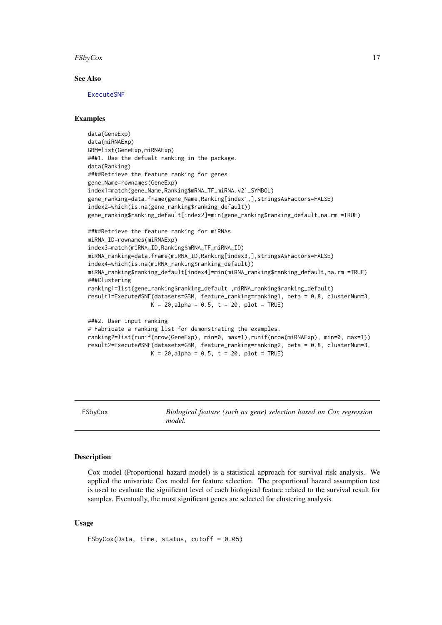#### <span id="page-16-0"></span>FSbyCox 17

#### See Also

[ExecuteSNF](#page-11-1)

# Examples

```
data(GeneExp)
data(miRNAExp)
GBM=list(GeneExp,miRNAExp)
###1. Use the defualt ranking in the package.
data(Ranking)
####Retrieve the feature ranking for genes
gene_Name=rownames(GeneExp)
index1=match(gene_Name,Ranking$mRNA_TF_miRNA.v21_SYMBOL)
gene_ranking=data.frame(gene_Name,Ranking[index1,],stringsAsFactors=FALSE)
index2=which(is.na(gene_ranking$ranking_default))
gene_ranking$ranking_default[index2]=min(gene_ranking$ranking_default,na.rm =TRUE)
####Retrieve the feature ranking for miRNAs
miRNA_ID=rownames(miRNAExp)
index3=match(miRNA_ID,Ranking$mRNA_TF_miRNA_ID)
miRNA_ranking=data.frame(miRNA_ID,Ranking[index3,],stringsAsFactors=FALSE)
index4=which(is.na(miRNA_ranking$ranking_default))
miRNA_ranking$ranking_default[index4]=min(miRNA_ranking$ranking_default,na.rm =TRUE)
###Clustering
ranking1=list(gene_ranking$ranking_default ,miRNA_ranking$ranking_default)
result1=ExecuteWSNF(datasets=GBM, feature_ranking=ranking1, beta = 0.8, clusterNum=3,
                   K = 20, alpha = 0.5, t = 20, plot = TRUE)
###2. User input ranking
# Fabricate a ranking list for demonstrating the examples.
ranking2=list(runif(nrow(GeneExp), min=0, max=1),runif(nrow(miRNAExp), min=0, max=1))
result2=ExecuteWSNF(datasets=GBM, feature_ranking=ranking2, beta = 0.8, clusterNum=3,
```
 $K = 20$ , alpha = 0.5, t = 20, plot = TRUE)

FSbyCox *Biological feature (such as gene) selection based on Cox regression model.*

#### Description

Cox model (Proportional hazard model) is a statistical approach for survival risk analysis. We applied the univariate Cox model for feature selection. The proportional hazard assumption test is used to evaluate the significant level of each biological feature related to the survival result for samples. Eventually, the most significant genes are selected for clustering analysis.

# Usage

```
FSbyCox(Data, time, status, cutoff = 0.05)
```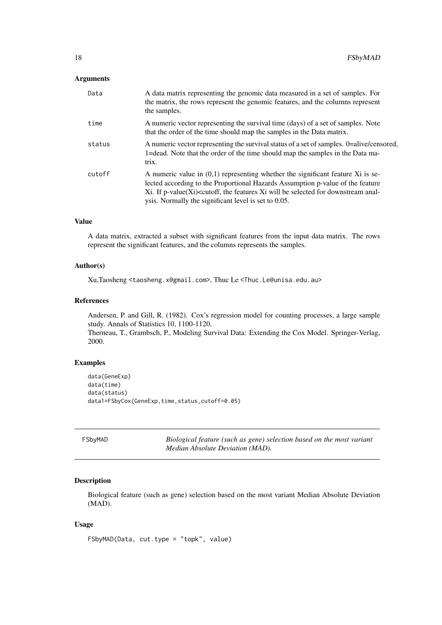# <span id="page-17-0"></span>Arguments

| Data   | A data matrix representing the genomic data measured in a set of samples. For<br>the matrix, the rows represent the genomic features, and the columns represent<br>the samples.                                                                                                                                                                       |
|--------|-------------------------------------------------------------------------------------------------------------------------------------------------------------------------------------------------------------------------------------------------------------------------------------------------------------------------------------------------------|
| time   | A numeric vector representing the survival time (days) of a set of samples. Note<br>that the order of the time should map the samples in the Data matrix.                                                                                                                                                                                             |
| status | A numeric vector representing the survival status of a set of samples. 0=alive/censored,<br>1=dead. Note that the order of the time should map the samples in the Data ma-<br>trix.                                                                                                                                                                   |
| cutoff | A numeric value in $(0,1)$ representing whether the significant feature Xi is se-<br>lected according to the Proportional Hazards Assumption p-value of the feature<br>Xi. If p-value(Xi) <cutoff, anal-<br="" be="" downstream="" features="" for="" selected="" the="" will="" xi="">ysis. Normally the significant level is set to 0.05.</cutoff,> |

# Value

A data matrix, extracted a subset with significant features from the input data matrix. The rows represent the significant features, and the columns represents the samples.

# Author(s)

Xu,Taosheng <taosheng.x@gmail.com>, Thuc Le <Thuc.Le@unisa.edu.au>

# References

Andersen, P. and Gill, R. (1982). Cox's regression model for counting processes, a large sample study. Annals of Statistics 10, 1100-1120. Therneau, T., Grambsch, P., Modeling Survival Data: Extending the Cox Model. Springer-Verlag,

#### Examples

2000.

```
data(GeneExp)
data(time)
data(status)
data1=FSbyCox(GeneExp,time,status,cutoff=0.05)
```
FSbyMAD *Biological feature (such as gene) selection based on the most variant Median Absolute Deviation (MAD).*

#### Description

Biological feature (such as gene) selection based on the most variant Median Absolute Deviation (MAD).

# Usage

```
FSbyMAD(Data, cut.type = "topk", value)
```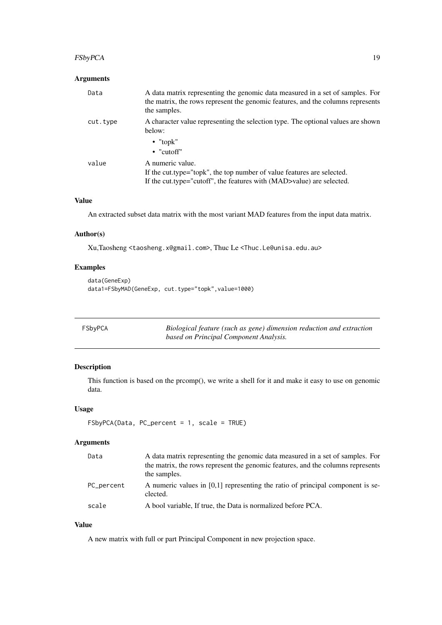# <span id="page-18-0"></span>FSbyPCA 19

# Arguments

| Data     | A data matrix representing the genomic data measured in a set of samples. For<br>the matrix, the rows represent the genomic features, and the columns represents<br>the samples. |
|----------|----------------------------------------------------------------------------------------------------------------------------------------------------------------------------------|
| cut.type | A character value representing the selection type. The optional values are shown<br>below:                                                                                       |
|          | $\bullet$ "topk"<br>$\bullet$ "cutoff"                                                                                                                                           |
| value    | A numeric value.<br>If the cut.type="topk", the top number of value features are selected.<br>If the cut.type="cutoff", the features with (MAD>value) are selected.              |

# Value

An extracted subset data matrix with the most variant MAD features from the input data matrix.

#### Author(s)

Xu,Taosheng <taosheng.x@gmail.com>, Thuc Le <Thuc.Le@unisa.edu.au>

# Examples

```
data(GeneExp)
data1=FSbyMAD(GeneExp, cut.type="topk",value=1000)
```

| FSbyPCA | Biological feature (such as gene) dimension reduction and extraction |
|---------|----------------------------------------------------------------------|
|         | based on Principal Component Analysis.                               |

# Description

This function is based on the prcomp(), we write a shell for it and make it easy to use on genomic data.

# Usage

```
FSbyPCA(Data, PC_percent = 1, scale = TRUE)
```
# Arguments

| Data       | A data matrix representing the genomic data measured in a set of samples. For<br>the matrix, the rows represent the genomic features, and the columns represents<br>the samples. |
|------------|----------------------------------------------------------------------------------------------------------------------------------------------------------------------------------|
| PC_percent | A numeric values in $[0,1]$ representing the ratio of principal component is se-<br>clected.                                                                                     |
| scale      | A bool variable, If true, the Data is normalized before PCA.                                                                                                                     |

# Value

A new matrix with full or part Principal Component in new projection space.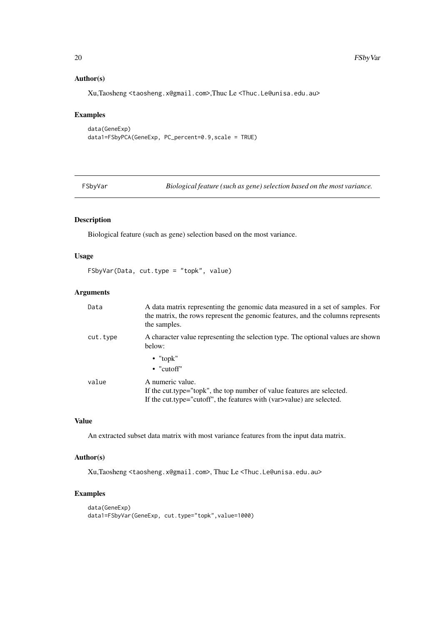# Author(s)

Xu,Taosheng <taosheng.x@gmail.com>,Thuc Le <Thuc.Le@unisa.edu.au>

# Examples

```
data(GeneExp)
data1=FSbyPCA(GeneExp, PC_percent=0.9,scale = TRUE)
```
FSbyVar *Biological feature (such as gene) selection based on the most variance.*

# Description

Biological feature (such as gene) selection based on the most variance.

#### Usage

FSbyVar(Data, cut.type = "topk", value)

# Arguments

| Data     | A data matrix representing the genomic data measured in a set of samples. For<br>the matrix, the rows represent the genomic features, and the columns represents<br>the samples. |
|----------|----------------------------------------------------------------------------------------------------------------------------------------------------------------------------------|
| cut.type | A character value representing the selection type. The optional values are shown<br>below:                                                                                       |
|          | $\bullet$ "topk"<br>$\bullet$ "cutoff"                                                                                                                                           |
| value    | A numeric value.<br>If the cut.type="topk", the top number of value features are selected.<br>If the cut.type="cutoff", the features with (var >value) are selected.             |

# Value

An extracted subset data matrix with most variance features from the input data matrix.

# Author(s)

Xu,Taosheng <taosheng.x@gmail.com>, Thuc Le <Thuc.Le@unisa.edu.au>

# Examples

```
data(GeneExp)
data1=FSbyVar(GeneExp, cut.type="topk",value=1000)
```
<span id="page-19-0"></span>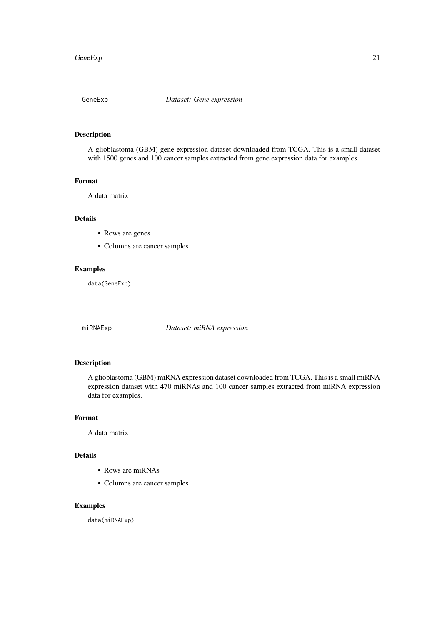<span id="page-20-0"></span>

# Description

A glioblastoma (GBM) gene expression dataset downloaded from TCGA. This is a small dataset with 1500 genes and 100 cancer samples extracted from gene expression data for examples.

# Format

A data matrix

#### Details

- Rows are genes
- Columns are cancer samples

# Examples

data(GeneExp)

miRNAExp *Dataset: miRNA expression*

#### Description

A glioblastoma (GBM) miRNA expression dataset downloaded from TCGA. This is a small miRNA expression dataset with 470 miRNAs and 100 cancer samples extracted from miRNA expression data for examples.

# Format

A data matrix

# Details

- Rows are miRNAs
- Columns are cancer samples

#### Examples

data(miRNAExp)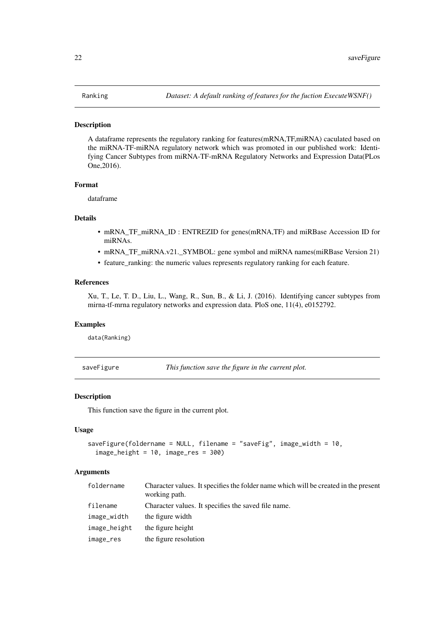#### <span id="page-21-0"></span>Description

A dataframe represents the regulatory ranking for features(mRNA,TF,miRNA) caculated based on the miRNA-TF-miRNA regulatory network which was promoted in our published work: Identifying Cancer Subtypes from miRNA-TF-mRNA Regulatory Networks and Expression Data(PLos One,2016).

#### Format

dataframe

#### Details

- mRNA\_TF\_miRNA\_ID : ENTREZID for genes(mRNA,TF) and miRBase Accession ID for miRNAs.
- mRNA\_TF\_miRNA.v21.\_SYMBOL: gene symbol and miRNA names(miRBase Version 21)
- feature\_ranking: the numeric values represents regulatory ranking for each feature.

#### References

Xu, T., Le, T. D., Liu, L., Wang, R., Sun, B., & Li, J. (2016). Identifying cancer subtypes from mirna-tf-mrna regulatory networks and expression data. PloS one, 11(4), e0152792.

#### Examples

data(Ranking)

saveFigure *This function save the figure in the current plot.*

#### Description

This function save the figure in the current plot.

#### Usage

```
saveFigure(foldername = NULL, filename = "saveFig", image width = 10,
  image_{helight} = 10, image_{res} = 300
```
#### Arguments

| foldername   | Character values. It specifies the folder name which will be created in the present<br>working path. |
|--------------|------------------------------------------------------------------------------------------------------|
| filename     | Character values. It specifies the saved file name.                                                  |
| image_width  | the figure width                                                                                     |
| image_height | the figure height                                                                                    |
| image_res    | the figure resolution                                                                                |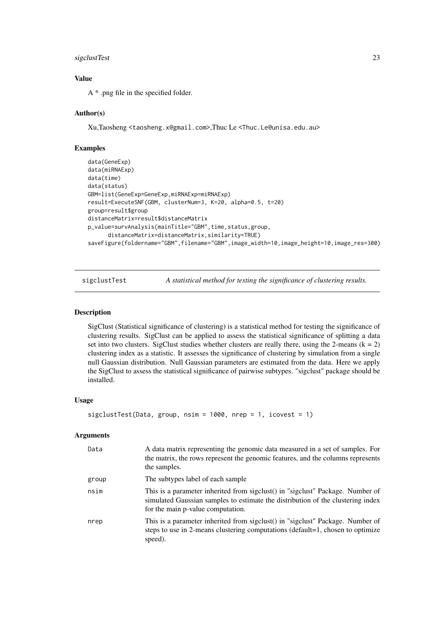#### <span id="page-22-0"></span>sigclustTest 23

# Value

A \* .png file in the specified folder.

#### Author(s)

Xu,Taosheng <taosheng.x@gmail.com>,Thuc Le <Thuc.Le@unisa.edu.au>

#### Examples

```
data(GeneExp)
data(miRNAExp)
data(time)
data(status)
GBM=list(GeneExp=GeneExp,miRNAExp=miRNAExp)
result=ExecuteSNF(GBM, clusterNum=3, K=20, alpha=0.5, t=20)
group=result$group
distanceMatrix=result$distanceMatrix
p_value=survAnalysis(mainTitle="GBM",time,status,group,
      distanceMatrix=distanceMatrix,similarity=TRUE)
saveFigure(foldername="GBM",filename="GBM",image_width=10,image_height=10,image_res=300)
```
sigclustTest *A statistical method for testing the significance of clustering results.*

#### Description

SigClust (Statistical significance of clustering) is a statistical method for testing the significance of clustering results. SigClust can be applied to assess the statistical significance of splitting a data set into two clusters. SigClust studies whether clusters are really there, using the 2-means  $(k = 2)$ clustering index as a statistic. It assesses the significance of clustering by simulation from a single null Gaussian distribution. Null Gaussian parameters are estimated from the data. Here we apply the SigClust to assess the statistical significance of pairwise subtypes. "sigclust" package should be installed.

#### Usage

```
sigclustTest(Data, group, nsim = 1000, nrep = 1, icovest = 1)
```
#### Arguments

| Data  | A data matrix representing the genomic data measured in a set of samples. For<br>the matrix, the rows represent the genomic features, and the columns represents<br>the samples.                       |
|-------|--------------------------------------------------------------------------------------------------------------------------------------------------------------------------------------------------------|
| group | The subtypes label of each sample                                                                                                                                                                      |
| nsim  | This is a parameter inherited from sigclust() in "sigclust" Package. Number of<br>simulated Gaussian samples to estimate the distribution of the clustering index<br>for the main p-value computation. |
| nrep  | This is a parameter inherited from sigclust() in "sigclust" Package. Number of<br>steps to use in 2-means clustering computations (default=1, chosen to optimize<br>speed).                            |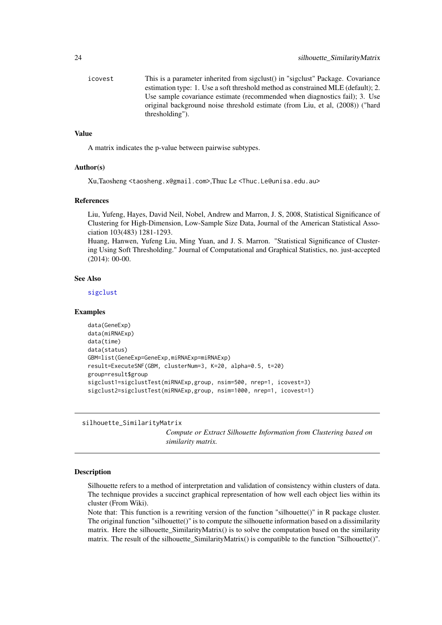<span id="page-23-0"></span>icovest This is a parameter inherited from sigclust() in "sigclust" Package. Covariance estimation type: 1. Use a soft threshold method as constrained MLE (default); 2. Use sample covariance estimate (recommended when diagnostics fail); 3. Use original background noise threshold estimate (from Liu, et al, (2008)) ("hard thresholding").

# Value

A matrix indicates the p-value between pairwise subtypes.

#### Author(s)

Xu,Taosheng <taosheng.x@gmail.com>,Thuc Le <Thuc.Le@unisa.edu.au>

# References

Liu, Yufeng, Hayes, David Neil, Nobel, Andrew and Marron, J. S, 2008, Statistical Significance of Clustering for High-Dimension, Low-Sample Size Data, Journal of the American Statistical Association 103(483) 1281-1293.

Huang, Hanwen, Yufeng Liu, Ming Yuan, and J. S. Marron. "Statistical Significance of Clustering Using Soft Thresholding." Journal of Computational and Graphical Statistics, no. just-accepted (2014): 00-00.

#### See Also

[sigclust](#page-0-0)

#### Examples

```
data(GeneExp)
data(miRNAExp)
data(time)
data(status)
GBM=list(GeneExp=GeneExp,miRNAExp=miRNAExp)
result=ExecuteSNF(GBM, clusterNum=3, K=20, alpha=0.5, t=20)
group=result$group
sigclust1=sigclustTest(miRNAExp,group, nsim=500, nrep=1, icovest=3)
sigclust2=sigclustTest(miRNAExp,group, nsim=1000, nrep=1, icovest=1)
```
silhouette\_SimilarityMatrix

*Compute or Extract Silhouette Information from Clustering based on similarity matrix.*

# Description

Silhouette refers to a method of interpretation and validation of consistency within clusters of data. The technique provides a succinct graphical representation of how well each object lies within its cluster (From Wiki).

Note that: This function is a rewriting version of the function "silhouette()" in R package cluster. The original function "silhouette()" is to compute the silhouette information based on a dissimilarity matrix. Here the silhouette\_SimilarityMatrix() is to solve the computation based on the similarity matrix. The result of the silhouette\_SimilarityMatrix() is compatible to the function "Silhouette()".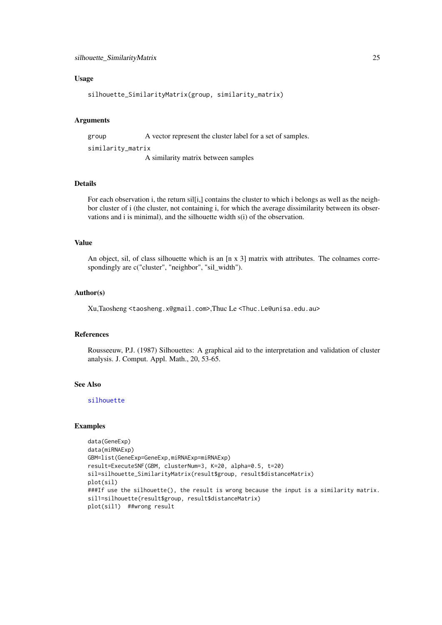#### <span id="page-24-0"></span>Usage

```
silhouette_SimilarityMatrix(group, similarity_matrix)
```
#### Arguments

group A vector represent the cluster label for a set of samples.

similarity\_matrix

A similarity matrix between samples

# Details

For each observation i, the return sil[i,] contains the cluster to which i belongs as well as the neighbor cluster of i (the cluster, not containing i, for which the average dissimilarity between its observations and i is minimal), and the silhouette width s(i) of the observation.

# Value

An object, sil, of class silhouette which is an  $\left[\frac{n \times 3}{n + 1}\right]$  matrix with attributes. The colnames correspondingly are c("cluster", "neighbor", "sil\_width").

#### Author(s)

Xu,Taosheng <taosheng.x@gmail.com>,Thuc Le <Thuc.Le@unisa.edu.au>

#### References

Rousseeuw, P.J. (1987) Silhouettes: A graphical aid to the interpretation and validation of cluster analysis. J. Comput. Appl. Math., 20, 53-65.

#### See Also

[silhouette](#page-0-0)

# Examples

```
data(GeneExp)
data(miRNAExp)
GBM=list(GeneExp=GeneExp,miRNAExp=miRNAExp)
result=ExecuteSNF(GBM, clusterNum=3, K=20, alpha=0.5, t=20)
sil=silhouette_SimilarityMatrix(result$group, result$distanceMatrix)
plot(sil)
###If use the silhouette(), the result is wrong because the input is a similarity matrix.
sil1=silhouette(result$group, result$distanceMatrix)
plot(sil1) ##wrong result
```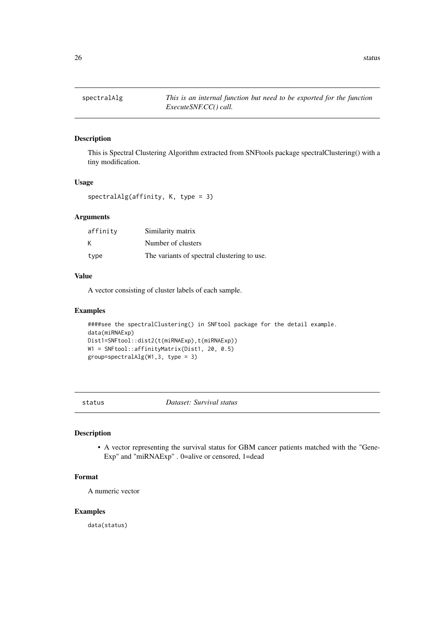<span id="page-25-0"></span>

# Description

This is Spectral Clustering Algorithm extracted from SNFtools package spectralClustering() with a tiny modification.

# Usage

spectralAlg(affinity, K, type = 3)

# Arguments

| affinity | Similarity matrix                           |
|----------|---------------------------------------------|
| K        | Number of clusters                          |
| type     | The variants of spectral clustering to use. |

# Value

A vector consisting of cluster labels of each sample.

#### Examples

```
####see the spectralClustering() in SNFtool package for the detail example.
data(miRNAExp)
Dist1=SNFtool::dist2(t(miRNAExp),t(miRNAExp))
W1 = SNFtool::affinityMatrix(Dist1, 20, 0.5)
group=spectralAlg(W1,3, type = 3)
```
status *Dataset: Survival status*

# Description

• A vector representing the survival status for GBM cancer patients matched with the "Gene-Exp" and "miRNAExp" . 0=alive or censored, 1=dead

#### Format

A numeric vector

#### Examples

data(status)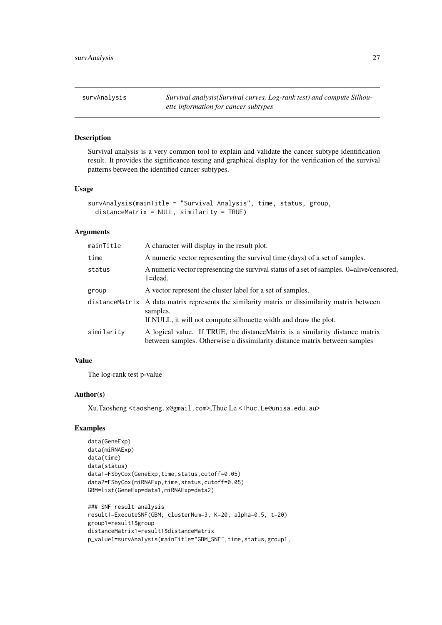<span id="page-26-0"></span>

| survAnalysis | Survival analysis (Survival curves, Log-rank test) and compute Silhou- |
|--------------|------------------------------------------------------------------------|
|              | ette information for cancer subtypes                                   |

# Description

Survival analysis is a very common tool to explain and validate the cancer subtype identification result. It provides the significance testing and graphical display for the verification of the survival patterns between the identified cancer subtypes.

#### Usage

```
survAnalysis(mainTitle = "Survival Analysis", time, status, group,
 distanceMatrix = NULL, similarity = TRUE)
```
# Arguments

| mainTitle  | A character will display in the result plot.                                                                                                                                   |
|------------|--------------------------------------------------------------------------------------------------------------------------------------------------------------------------------|
| time       | A numeric vector representing the survival time (days) of a set of samples.                                                                                                    |
| status     | A numeric vector representing the survival status of a set of samples. 0=alive/censored,<br>$1 = dead.$                                                                        |
| group      | A vector represent the cluster label for a set of samples.                                                                                                                     |
|            | distance Matrix A data matrix represents the similarity matrix or dissimilarity matrix between<br>samples.<br>If NULL, it will not compute silhouette width and draw the plot. |
| similarity | A logical value. If TRUE, the distanceMatrix is a similarity distance matrix<br>between samples. Otherwise a dissimilarity distance matrix between samples                     |

# Value

The log-rank test p-value

# Author(s)

Xu,Taosheng <taosheng.x@gmail.com>,Thuc Le <Thuc.Le@unisa.edu.au>

# Examples

```
data(GeneExp)
data(miRNAExp)
data(time)
data(status)
data1=FSbyCox(GeneExp,time,status,cutoff=0.05)
data2=FSbyCox(miRNAExp,time,status,cutoff=0.05)
GBM=list(GeneExp=data1,miRNAExp=data2)
### SNF result analysis
result1=ExecuteSNF(GBM, clusterNum=3, K=20, alpha=0.5, t=20)
group1=result1$group
distanceMatrix1=result1$distanceMatrix
```
p\_value1=survAnalysis(mainTitle="GBM\_SNF",time,status,group1,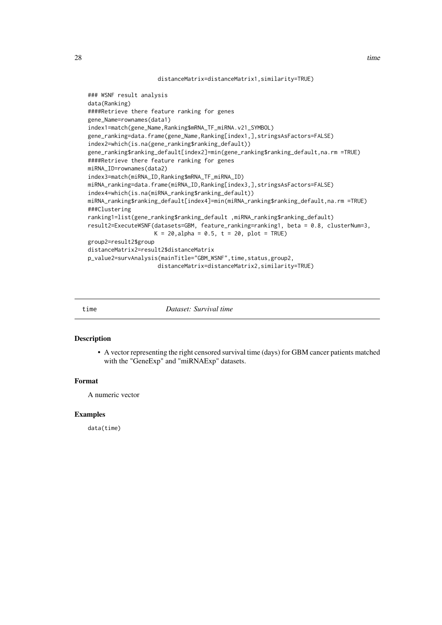#### distanceMatrix=distanceMatrix1,similarity=TRUE)

```
### WSNF result analysis
data(Ranking)
####Retrieve there feature ranking for genes
gene_Name=rownames(data1)
index1=match(gene_Name,Ranking$mRNA_TF_miRNA.v21_SYMBOL)
gene_ranking=data.frame(gene_Name,Ranking[index1,],stringsAsFactors=FALSE)
index2=which(is.na(gene_ranking$ranking_default))
gene_ranking$ranking_default[index2]=min(gene_ranking$ranking_default,na.rm =TRUE)
####Retrieve there feature ranking for genes
miRNA_ID=rownames(data2)
index3=match(miRNA_ID,Ranking$mRNA_TF_miRNA_ID)
miRNA_ranking=data.frame(miRNA_ID,Ranking[index3,],stringsAsFactors=FALSE)
index4=which(is.na(miRNA_ranking$ranking_default))
miRNA_ranking$ranking_default[index4]=min(miRNA_ranking$ranking_default,na.rm =TRUE)
###Clustering
ranking1=list(gene_ranking$ranking_default ,miRNA_ranking$ranking_default)
result2=ExecuteWSNF(datasets=GBM, feature_ranking=ranking1, beta = 0.8, clusterNum=3,
                    K = 20, alpha = 0.5, t = 20, plot = TRUE)
group2=result2$group
distanceMatrix2=result2$distanceMatrix
p_value2=survAnalysis(mainTitle="GBM_WSNF",time,status,group2,
                     distanceMatrix=distanceMatrix2,similarity=TRUE)
```
time *Dataset: Survival time*

#### Description

• A vector representing the right censored survival time (days) for GBM cancer patients matched with the "GeneExp" and "miRNAExp" datasets.

#### Format

A numeric vector

#### Examples

data(time)